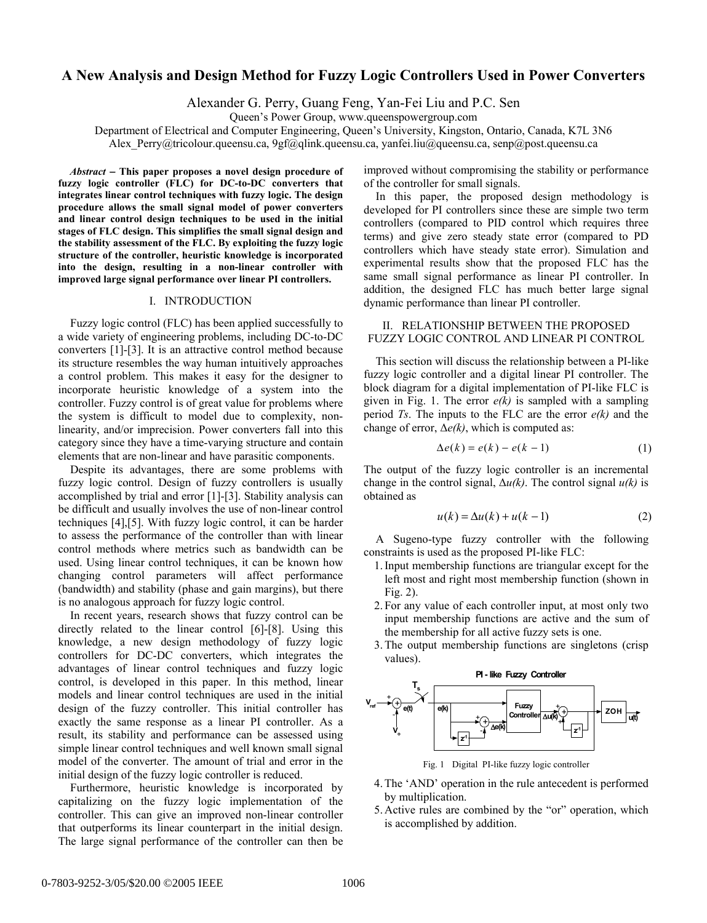# **A New Analysis and Design Method for Fuzzy Logic Controllers Used in Power Converters**

Alexander G. Perry, Guang Feng, Yan-Fei Liu and P.C. Sen

Queen's Power Group, www.queenspowergroup.com

Department of Electrical and Computer Engineering, Queen's University, Kingston, Ontario, Canada, K7L 3N6

Alex\_Perry@tricolour.queensu.ca, 9gf@qlink.queensu.ca, yanfei.liu@queensu.ca, senp@post.queensu.ca

*Abstract* − **This paper proposes a novel design procedure of fuzzy logic controller (FLC) for DC-to-DC converters that integrates linear control techniques with fuzzy logic. The design procedure allows the small signal model of power converters and linear control design techniques to be used in the initial stages of FLC design. This simplifies the small signal design and the stability assessment of the FLC. By exploiting the fuzzy logic structure of the controller, heuristic knowledge is incorporated into the design, resulting in a non-linear controller with improved large signal performance over linear PI controllers.** 

### I. INTRODUCTION

Fuzzy logic control (FLC) has been applied successfully to a wide variety of engineering problems, including DC-to-DC converters [1]-[3]. It is an attractive control method because its structure resembles the way human intuitively approaches a control problem. This makes it easy for the designer to incorporate heuristic knowledge of a system into the controller. Fuzzy control is of great value for problems where the system is difficult to model due to complexity, nonlinearity, and/or imprecision. Power converters fall into this category since they have a time-varying structure and contain elements that are non-linear and have parasitic components.

Despite its advantages, there are some problems with fuzzy logic control. Design of fuzzy controllers is usually accomplished by trial and error [1]-[3]. Stability analysis can be difficult and usually involves the use of non-linear control techniques [4],[5]. With fuzzy logic control, it can be harder to assess the performance of the controller than with linear control methods where metrics such as bandwidth can be used. Using linear control techniques, it can be known how changing control parameters will affect performance (bandwidth) and stability (phase and gain margins), but there is no analogous approach for fuzzy logic control.

In recent years, research shows that fuzzy control can be directly related to the linear control [6]-[8]. Using this knowledge, a new design methodology of fuzzy logic controllers for DC-DC converters, which integrates the advantages of linear control techniques and fuzzy logic control, is developed in this paper. In this method, linear models and linear control techniques are used in the initial design of the fuzzy controller. This initial controller has exactly the same response as a linear PI controller. As a result, its stability and performance can be assessed using simple linear control techniques and well known small signal model of the converter. The amount of trial and error in the initial design of the fuzzy logic controller is reduced.

Furthermore, heuristic knowledge is incorporated by capitalizing on the fuzzy logic implementation of the controller. This can give an improved non-linear controller that outperforms its linear counterpart in the initial design. The large signal performance of the controller can then be

improved without compromising the stability or performance of the controller for small signals.

In this paper, the proposed design methodology is developed for PI controllers since these are simple two term controllers (compared to PID control which requires three terms) and give zero steady state error (compared to PD controllers which have steady state error). Simulation and experimental results show that the proposed FLC has the same small signal performance as linear PI controller. In addition, the designed FLC has much better large signal dynamic performance than linear PI controller.

## II. RELATIONSHIP BETWEEN THE PROPOSED FUZZY LOGIC CONTROL AND LINEAR PI CONTROL

This section will discuss the relationship between a PI-like fuzzy logic controller and a digital linear PI controller. The block diagram for a digital implementation of PI-like FLC is given in Fig. 1. The error  $e(k)$  is sampled with a sampling period *Ts*. The inputs to the FLC are the error *e(k)* and the change of error,  $\Delta e(k)$ , which is computed as:

$$
\Delta e(k) = e(k) - e(k-1) \tag{1}
$$

The output of the fuzzy logic controller is an incremental change in the control signal, Δ*u(k)*. The control signal *u(k)* is obtained as

$$
u(k) = \Delta u(k) + u(k-1)
$$
 (2)

A Sugeno-type fuzzy controller with the following constraints is used as the proposed PI-like FLC:

- 1.Input membership functions are triangular except for the left most and right most membership function (shown in Fig. 2).
- 2. For any value of each controller input, at most only two input membership functions are active and the sum of the membership for all active fuzzy sets is one.
- 3.The output membership functions are singletons (crisp values).



Fig. 1 Digital PI-like fuzzy logic controller

- 4.The 'AND' operation in the rule antecedent is performed by multiplication.
- 5. Active rules are combined by the "or" operation, which is accomplished by addition.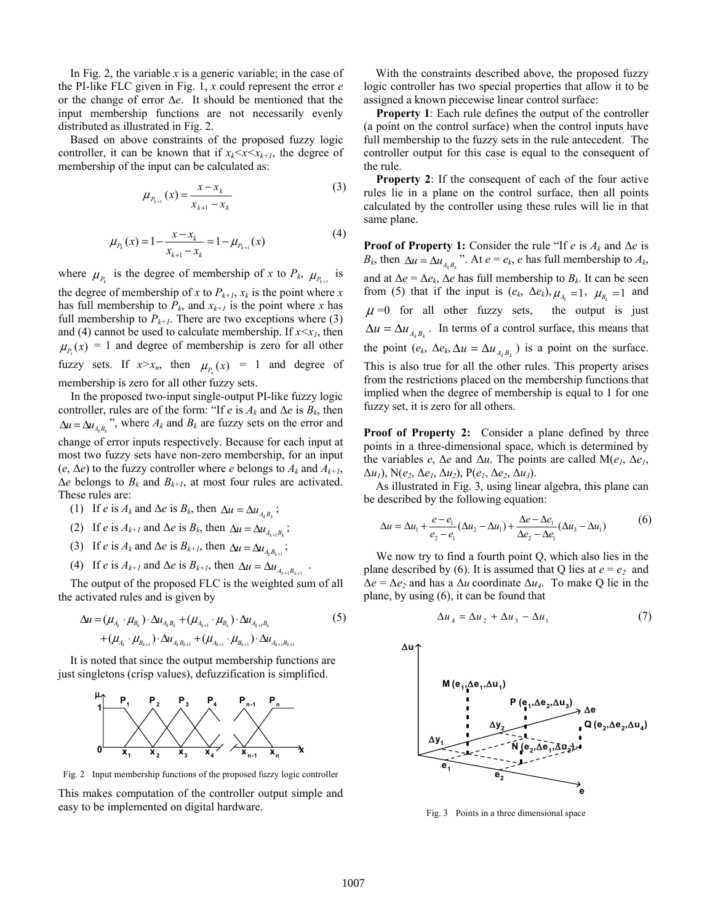In Fig. 2, the variable *x* is a generic variable; in the case of the PI-like FLC given in Fig. 1, *x* could represent the error *e* or the change of error Δ*e*. It should be mentioned that the input membership functions are not necessarily evenly distributed as illustrated in Fig. 2.

Based on above constraints of the proposed fuzzy logic controller, it can be known that if  $x_k < x < x_{k+1}$ , the degree of membership of the input can be calculated as:

$$
\mu_{P_{k+1}}(x) = \frac{x - x_k}{x_{k+1} - x_k} \tag{3}
$$

$$
\mu_{P_k}(x) = 1 - \frac{x - x_k}{x_{k+1} - x_k} = 1 - \mu_{P_{k+1}}(x)
$$
\n(4)

where  $\mu_{P_k}$  is the degree of membership of *x* to  $P_k$ ,  $\mu_{P_{k+1}}$  is the degree of membership of *x* to  $P_{k+1}$ ,  $x_k$  is the point where *x* has full membership to  $P_k$ , and  $x_{k+1}$  is the point where *x* has full membership to  $P_{k+1}$ . There are two exceptions where (3) and (4) cannot be used to calculate membership. If  $x \leq x_i$ , then  $\mu_{P_1}(x) = 1$  and degree of membership is zero for all other fuzzy sets. If  $x > x_n$ , then  $\mu_p(x) = 1$  and degree of membership is zero for all other fuzzy sets.

In the proposed two-input single-output PI-like fuzzy logic controller, rules are of the form: "If *e* is  $A_k$  and  $\Delta e$  is  $B_k$ , then  $\Delta u = \Delta u_{A B_k}$ <sup>2</sup>, where  $A_k$  and  $B_k$  are fuzzy sets on the error and change of error inputs respectively. Because for each input at most two fuzzy sets have non-zero membership, for an input  $(e, \Delta e)$  to the fuzzy controller where *e* belongs to  $A_k$  and  $A_{k+1}$ ,  $\Delta e$  belongs to  $B_k$  and  $B_{k+1}$ , at most four rules are activated. These rules are:

- (1) If *e* is  $A_k$  and  $\Delta e$  is  $B_k$ , then  $\Delta u = \Delta u_{A,B}$ ;
- (2) If *e* is  $A_{k+1}$  and  $\Delta e$  is  $B_k$ , then  $\Delta u = \Delta u_{A_k \cdot B_k}$
- (3) If *e* is  $A_k$  and  $\Delta e$  is  $B_{k+1}$ , then  $\Delta u = \Delta u_{A_k B_{k+1}}$
- (4) If *e* is  $A_{k+1}$  and  $\Delta e$  is  $B_{k+1}$ , then  $\Delta u = \Delta u_{A_{k+1} B_{k+1}}$

The output of the proposed FLC is the weighted sum of all the activated rules and is given by

$$
\Delta u = (\mu_{A_k} \cdot \mu_{B_k}) \cdot \Delta u_{A_k B_k} + (\mu_{A_{k+1}} \cdot \mu_{B_k}) \cdot \Delta u_{A_{k+1} B_k}
$$
(5)  
+ $(\mu_{A_k} \cdot \mu_{B_{k+1}}) \cdot \Delta u_{A_k B_{k+1}} + (\mu_{A_{k+1}} \cdot \mu_{B_{k+1}}) \cdot \Delta u_{A_{k+1} B_{k+1}}$ 

It is noted that since the output membership functions are just singletons (crisp values), defuzzification is simplified.



Fig. 2 Input membership functions of the proposed fuzzy logic controller

This makes computation of the controller output simple and easy to be implemented on digital hardware.

With the constraints described above, the proposed fuzzy logic controller has two special properties that allow it to be assigned a known piecewise linear control surface:

**Property 1**: Each rule defines the output of the controller (a point on the control surface) when the control inputs have full membership to the fuzzy sets in the rule antecedent. The controller output for this case is equal to the consequent of the rule.

**Property 2**: If the consequent of each of the four active rules lie in a plane on the control surface, then all points calculated by the controller using these rules will lie in that same plane.

**Proof of Property 1:** Consider the rule "If *e* is  $A_k$  and  $\Delta e$  is *B<sub>k</sub>*, then  $\Delta u = \Delta u_{A_k B_k}$ . At  $e = e_k$ , *e* has full membership to  $A_k$ , and at  $\Delta e = \Delta e_k$ ,  $\Delta e$  has full membership to  $B_k$ . It can be seen from (5) that if the input is  $(e_k, \Delta e_k)$ ,  $\mu_{A_k} = 1$ ,  $\mu_{B_k} = 1$  and  $\mu$  =0 for all other fuzzy sets, the output is just  $\Delta u = \Delta u_{A,B_1}$ . In terms of a control surface, this means that the point  $(e_k, \Delta e_k, \Delta u = \Delta u_{A_k, B_k})$  is a point on the surface. This is also true for all the other rules. This property arises from the restrictions placed on the membership functions that implied when the degree of membership is equal to 1 for one fuzzy set, it is zero for all others.

**Proof of Property 2:** Consider a plane defined by three points in a three-dimensional space, which is determined by the variables *e*,  $\Delta e$  and  $\Delta u$ . The points are called M(*e<sub>1</sub>*,  $\Delta e$ <sub>*I*</sub>,  $\Delta u_1$ ), N( $e_2$ ,  $\Delta e_1$ ,  $\Delta u_2$ ), P( $e_1$ ,  $\Delta e_2$ ,  $\Delta u_3$ ).

As illustrated in Fig. 3, using linear algebra, this plane can be described by the following equation:

$$
\Delta u = \Delta u_1 + \frac{e - e_1}{e_2 - e_1} (\Delta u_2 - \Delta u_1) + \frac{\Delta e - \Delta e_1}{\Delta e_2 - \Delta e_1} (\Delta u_3 - \Delta u_1)
$$
(6)

We now try to find a fourth point Q, which also lies in the plane described by (6). It is assumed that Q lies at  $e = e_2$  and  $\Delta e = \Delta e_2$  and has a  $\Delta u$  coordinate  $\Delta u_4$ . To make Q lie in the plane, by using (6), it can be found that

$$
\Delta u_4 = \Delta u_2 + \Delta u_3 - \Delta u_1 \tag{7}
$$



Fig. 3 Points in a three dimensional space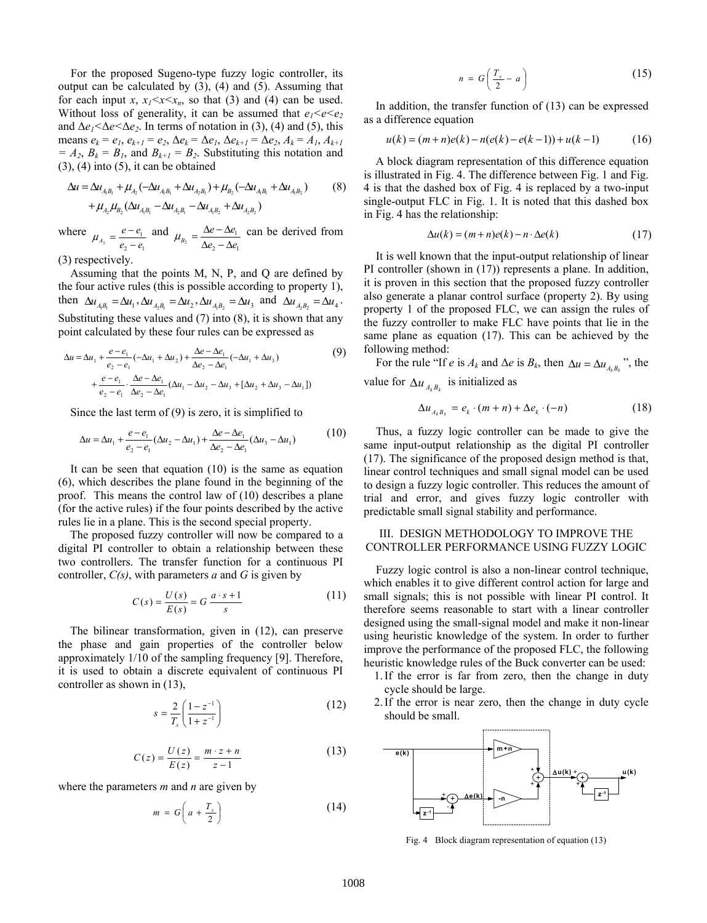For the proposed Sugeno-type fuzzy logic controller, its output can be calculated by (3), (4) and (5). Assuming that for each input *x*,  $x_1 \le x \le x_n$ , so that (3) and (4) can be used. Without loss of generality, it can be assumed that  $e_1 < e < e_2$ and  $\Delta e_1 < \Delta e < \Delta e_2$ . In terms of notation in (3), (4) and (5), this means  $e_k = e_l$ ,  $e_{k+1} = e_2$ ,  $\Delta e_k = \Delta e_l$ ,  $\Delta e_{k+1} = \Delta e_2$ ,  $A_k = A_l$ ,  $A_{k+1}$  $= A_2, B_k = B_l$ , and  $B_{k+l} = B_2$ . Substituting this notation and  $(3)$ ,  $(4)$  into  $(5)$ , it can be obtained

$$
\Delta u = \Delta u_{A_1B_1} + \mu_{A_2}(-\Delta u_{A_1B_1} + \Delta u_{A_2B_1}) + \mu_{B_2}(-\Delta u_{A_1B_1} + \Delta u_{A_1B_2})
$$
(8)  
+  $\mu_{A_2}\mu_{B_2}(\Delta u_{A_1B_1} - \Delta u_{A_2B_1} - \Delta u_{A_1B_2} + \Delta u_{A_2B_2})$ 

where 2  $\epsilon_1$  $\frac{e - e_1}{e_2 - e_1}$ *e e*  $\mu_{A_2} = \frac{e - e_1}{e_2 - e_1}$  and  $2 - \Delta \epsilon_1$  $\frac{1}{\Delta e_2 - \Delta e_1}$ *e e*  $B_2$ <sup>-</sup>  $\Delta e_2$  -  $\Delta$  $\mu_{B_2} = \frac{\Delta e - \Delta e_1}{\Delta e}$  can be derived from

(3) respectively.

Assuming that the points M, N, P, and Q are defined by the four active rules (this is possible according to property 1), then  $\Delta u_{A,B_i} = \Delta u_1$ ,  $\Delta u_{A,B_i} = \Delta u_2$ ,  $\Delta u_{A,B_i} = \Delta u_3$  and  $\Delta u_{A,B_i} = \Delta u_4$ . Substituting these values and (7) into (8), it is shown that any point calculated by these four rules can be expressed as

$$
\Delta u = \Delta u_1 + \frac{e - e_1}{e_2 - e_1} \left( -\Delta u_1 + \Delta u_2 \right) + \frac{\Delta e - \Delta e_1}{\Delta e_2 - \Delta e_1} \left( -\Delta u_1 + \Delta u_3 \right)
$$
(9)  
+ 
$$
\frac{e - e_1}{e_2 - e_1} \cdot \frac{\Delta e - \Delta e_1}{\Delta e_2 - \Delta e_1} \left( \Delta u_1 - \Delta u_2 - \Delta u_3 + [\Delta u_2 + \Delta u_3 - \Delta u_1] \right)
$$

Since the last term of  $(9)$  is zero, it is simplified to

$$
\Delta u = \Delta u_1 + \frac{e - e_1}{e_2 - e_1} (\Delta u_2 - \Delta u_1) + \frac{\Delta e - \Delta e_1}{\Delta e_2 - \Delta e_1} (\Delta u_3 - \Delta u_1)
$$
(10)

It can be seen that equation (10) is the same as equation (6), which describes the plane found in the beginning of the proof. This means the control law of (10) describes a plane (for the active rules) if the four points described by the active rules lie in a plane. This is the second special property.

The proposed fuzzy controller will now be compared to a digital PI controller to obtain a relationship between these two controllers. The transfer function for a continuous PI controller, *C(s)*, with parameters *a* and *G* is given by

$$
C(s) = \frac{U(s)}{E(s)} = G \frac{a \cdot s + 1}{s} \tag{11}
$$

The bilinear transformation, given in (12), can preserve the phase and gain properties of the controller below approximately 1/10 of the sampling frequency [9]. Therefore, it is used to obtain a discrete equivalent of continuous PI controller as shown in (13),

$$
s = \frac{2}{T_s} \left( \frac{1 - z^{-1}}{1 + z^{-1}} \right) \tag{12}
$$

$$
C(z) = \frac{U(z)}{E(z)} = \frac{m \cdot z + n}{z - 1}
$$
 (13)

where the parameters *m* and *n* are given by

$$
m = G\left(a + \frac{T_s}{2}\right) \tag{14}
$$

$$
n = G\left(\frac{T_s}{2} - a\right) \tag{15}
$$

In addition, the transfer function of (13) can be expressed as a difference equation

$$
u(k) = (m+n)e(k) - n(e(k) - e(k-1)) + u(k-1)
$$
 (16)

A block diagram representation of this difference equation is illustrated in Fig. 4. The difference between Fig. 1 and Fig. 4 is that the dashed box of Fig. 4 is replaced by a two-input single-output FLC in Fig. 1. It is noted that this dashed box in Fig. 4 has the relationship:

$$
\Delta u(k) = (m+n)e(k) - n \cdot \Delta e(k) \tag{17}
$$

It is well known that the input-output relationship of linear PI controller (shown in (17)) represents a plane. In addition, it is proven in this section that the proposed fuzzy controller also generate a planar control surface (property 2). By using property 1 of the proposed FLC, we can assign the rules of the fuzzy controller to make FLC have points that lie in the same plane as equation (17). This can be achieved by the following method:

For the rule "If *e* is  $A_k$  and  $\Delta e$  is  $B_k$ , then  $\Delta u = \Delta u_{A_k} B_k$ ", the value for  $\Delta u_{A,B_k}$  is initialized as

$$
\Delta u_{A_k B_k} = e_k \cdot (m+n) + \Delta e_k \cdot (-n) \tag{18}
$$

Thus, a fuzzy logic controller can be made to give the same input-output relationship as the digital PI controller (17). The significance of the proposed design method is that, linear control techniques and small signal model can be used to design a fuzzy logic controller. This reduces the amount of trial and error, and gives fuzzy logic controller with predictable small signal stability and performance.

## III. DESIGN METHODOLOGY TO IMPROVE THE CONTROLLER PERFORMANCE USING FUZZY LOGIC

Fuzzy logic control is also a non-linear control technique, which enables it to give different control action for large and small signals; this is not possible with linear PI control. It therefore seems reasonable to start with a linear controller designed using the small-signal model and make it non-linear using heuristic knowledge of the system. In order to further improve the performance of the proposed FLC, the following heuristic knowledge rules of the Buck converter can be used:

- 1.If the error is far from zero, then the change in duty cycle should be large.
- 2.If the error is near zero, then the change in duty cycle should be small.



Fig. 4 Block diagram representation of equation (13)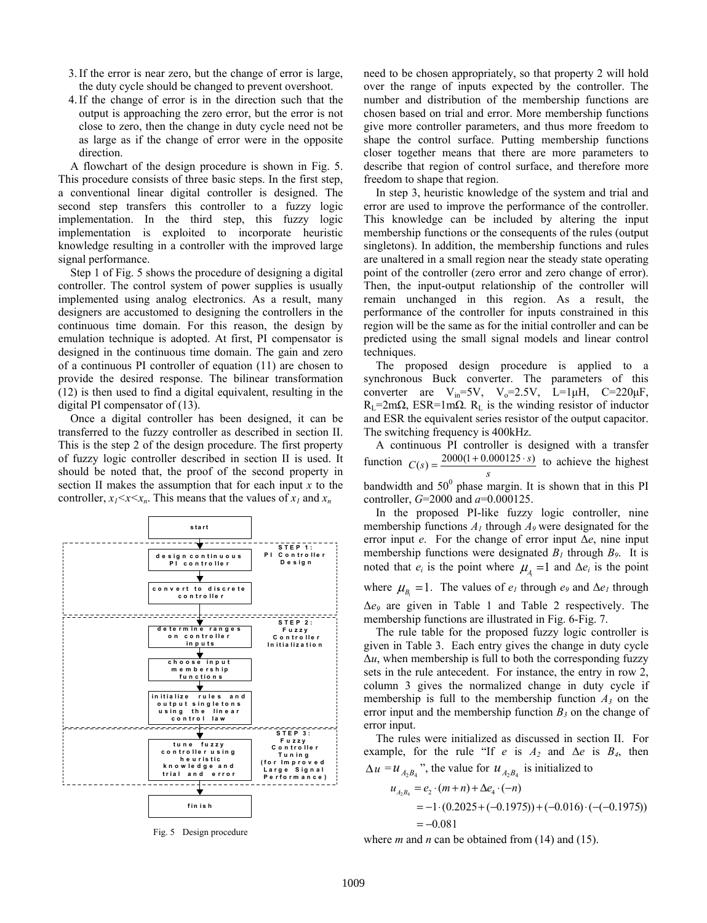- 3.If the error is near zero, but the change of error is large, the duty cycle should be changed to prevent overshoot.
- 4.If the change of error is in the direction such that the output is approaching the zero error, but the error is not close to zero, then the change in duty cycle need not be as large as if the change of error were in the opposite direction.

A flowchart of the design procedure is shown in Fig. 5. This procedure consists of three basic steps. In the first step, a conventional linear digital controller is designed. The second step transfers this controller to a fuzzy logic implementation. In the third step, this fuzzy logic implementation is exploited to incorporate heuristic knowledge resulting in a controller with the improved large signal performance.

Step 1 of Fig. 5 shows the procedure of designing a digital controller. The control system of power supplies is usually implemented using analog electronics. As a result, many designers are accustomed to designing the controllers in the continuous time domain. For this reason, the design by emulation technique is adopted. At first, PI compensator is designed in the continuous time domain. The gain and zero of a continuous PI controller of equation (11) are chosen to provide the desired response. The bilinear transformation (12) is then used to find a digital equivalent, resulting in the digital PI compensator of (13).

Once a digital controller has been designed, it can be transferred to the fuzzy controller as described in section II. This is the step 2 of the design procedure. The first property of fuzzy logic controller described in section II is used. It should be noted that, the proof of the second property in section II makes the assumption that for each input *x* to the controller,  $x_1 < x < x_n$ . This means that the values of  $x_1$  and  $x_n$ 

**start STEP 1: P I C o n tro lle r d e s ig n c o n tin u o u s P I c o n tro lle r D e s ig n**  $\bigstar$ **c o n v e rt to d is c re te c o n tro lle r STEP 2: d e te rm in e ra n g e s Fuzzy o n c o n tro lle r C o n tro lle r in p u ts In itia liza tio n c h o o s e in p u t m e m b e rs h ip fu n c tio n s** ◆ **in it ia liz e r u le s a n d o u tp u t s in g le to n s u s in g th e lin e a r c o n tro l la w STEP 3: Fuzzy tu n e fu zzy c o n tro lle r u s in g h e u ris tic C o n tro lle r Tu n in g (fo r Im p r o v e d k n o w le d g e a n d t r ia l a n d e r r o r La rg e S ig n a l Pe rfo rm an ce )** --------|------**fin is h**

Fig. 5 Design procedure

need to be chosen appropriately, so that property 2 will hold over the range of inputs expected by the controller. The number and distribution of the membership functions are chosen based on trial and error. More membership functions give more controller parameters, and thus more freedom to shape the control surface. Putting membership functions closer together means that there are more parameters to describe that region of control surface, and therefore more freedom to shape that region.

In step 3, heuristic knowledge of the system and trial and error are used to improve the performance of the controller. This knowledge can be included by altering the input membership functions or the consequents of the rules (output singletons). In addition, the membership functions and rules are unaltered in a small region near the steady state operating point of the controller (zero error and zero change of error). Then, the input-output relationship of the controller will remain unchanged in this region. As a result, the performance of the controller for inputs constrained in this region will be the same as for the initial controller and can be predicted using the small signal models and linear control techniques.

The proposed design procedure is applied to a synchronous Buck converter. The parameters of this converter are  $V_{in}$ =5V,  $V_0$ =2.5V,  $L$ =1 $\mu$ H, C=220 $\mu$ F,  $R_L$ =2m $\Omega$ , ESR=1m $\Omega$ .  $R_L$  is the winding resistor of inductor and ESR the equivalent series resistor of the output capacitor. The switching frequency is 400kHz.

A continuous PI controller is designed with a transfer function  $C(s) = \frac{2000(1+0.000125 \cdot s)}{s}$  to achieve the highest *s* bandwidth and  $50^0$  phase margin. It is shown that in this PI controller, *G*=2000 and *a*=0.000125.

In the proposed PI-like fuzzy logic controller, nine membership functions  $A_1$  through  $A_9$  were designated for the error input *e*. For the change of error input Δ*e*, nine input membership functions were designated  $B_1$  through  $B_9$ . It is noted that  $e_i$  is the point where  $\mu_A = 1$  and  $\Delta e_i$  is the point where  $\mu_{B_i} = 1$ . The values of  $e_i$  through  $e_9$  and  $\Delta e_i$  through Δ*e9* are given in Table 1 and Table 2 respectively. The membership functions are illustrated in Fig. 6-Fig. 7.

The rule table for the proposed fuzzy logic controller is given in Table 3. Each entry gives the change in duty cycle  $\Delta u$ , when membership is full to both the corresponding fuzzy sets in the rule antecedent. For instance, the entry in row 2, column 3 gives the normalized change in duty cycle if membership is full to the membership function  $A_3$  on the error input and the membership function  $B_3$  on the change of error input.

The rules were initialized as discussed in section II. For example, for the rule "If *e* is  $A_2$  and  $\Delta e$  is  $B_4$ , then  $\Delta u = u_{A_2 B_4}$ , the value for  $u_{A_2 B_4}$  is initialized to

$$
u_{A_2B_4} = e_2 \cdot (m+n) + \Delta e_4 \cdot (-n)
$$
  
= -1 \cdot (0.2025 + (-0.1975)) + (-0.016) \cdot (-(-0.1975))  
= -0.081

where *m* and *n* can be obtained from (14) and (15).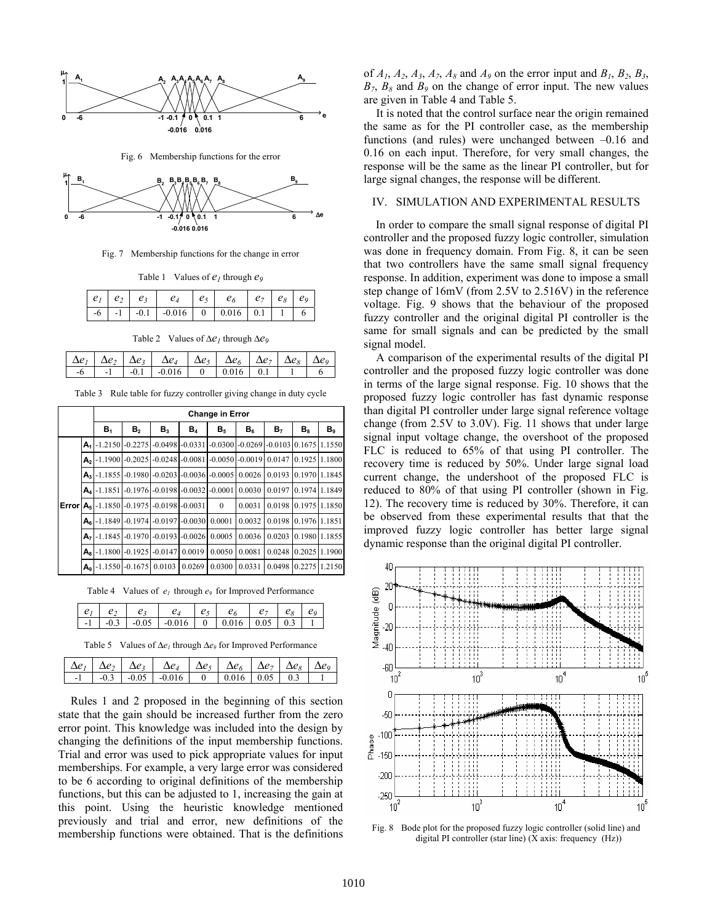

Fig. 6 Membership functions for the error



Fig. 7 Membership functions for the change in error

|  |  | Table 1 Values of $e_1$ through $e_9$ |  |
|--|--|---------------------------------------|--|
|--|--|---------------------------------------|--|

|  | $e_1$ $e_2$ $e_3$ $e_4$ $e_5$ $e_6$ $e_7$ $e_8$ $e_9$ |  |  |  |
|--|-------------------------------------------------------|--|--|--|
|  | $-6$ $-1$ $-0.1$ $-0.016$ 0 0.016 0.1 1 6             |  |  |  |

Table 2 Values of Δ*e1* through Δ*e9*

|  | $\left  \Delta e_1 \right  \Delta e_2$ $\Delta e_3$ $\Delta e_4$ $\Delta e_5$ $\Delta e_6$ $\Delta e_7$ $\Delta e_8$ $\Delta e_9$ |  |  |  |
|--|-----------------------------------------------------------------------------------------------------------------------------------|--|--|--|
|  | $\begin{bmatrix} -6 & 1 & -1 & -0.1 & -0.016 & 0 & 0.016 & 0.1 \end{bmatrix}$                                                     |  |  |  |

Table 3 Rule table for fuzzy controller giving change in duty cycle

|               |                |                | <b>Change in Error</b>                                                                  |                |                                         |                |        |                |               |                |
|---------------|----------------|----------------|-----------------------------------------------------------------------------------------|----------------|-----------------------------------------|----------------|--------|----------------|---------------|----------------|
|               |                | B <sub>1</sub> | B <sub>2</sub>                                                                          | B <sub>3</sub> | $B_4$                                   | B <sub>5</sub> | $B_6$  | B <sub>7</sub> | $B_8$         | B <sub>9</sub> |
|               | $A_1$          |                | $-1.2150$ $-0.2275$ $-0.0498$ $-0.0331$ $-0.0300$ $-0.0269$ $-0.0103$ $0.1675$ $1.1550$ |                |                                         |                |        |                |               |                |
|               | A <sub>2</sub> |                | $-1.1900$ $-0.2025$ $-0.0248$ $-0.0081$ $-0.0050$ $-0.0019$                             |                |                                         |                |        | 0.0147         | 0.1925 1.1800 |                |
| Error $ A_5 $ | $A_3$          |                | $-1.1855$ $-0.1980$ $-0.0203$ $-0.0036$ $-0.0005$                                       |                |                                         |                | 0.0026 | 0.0193         | 0.1970 1.1845 |                |
|               | $A_{4}$        | $-1.1851$      |                                                                                         |                | $-0.1976$ $-0.0198$ $-0.0032$ $-0.0001$ |                | 0.0030 | 0.0197         | 0.1974 1.1849 |                |
|               |                |                | $-1.1850$ $-0.1975$ $-0.0198$ $-0.0031$                                                 |                |                                         | $\Omega$       | 0.0031 | 0.0198         | 0.1975 1.1850 |                |
|               | Aء             |                | $-1.1849 - 0.1974$                                                                      |                | $-0.0197 - 0.0030$                      | 0.0001         | 0.0032 | 0.0198         | 0.1976 1.1851 |                |
|               | A <sub>7</sub> |                | $-1.1845$ $-0.1970$ $-0.0193$ $-0.0026$                                                 |                |                                         | 0.0005         | 0.0036 | 0.0203         | 0.1980 1.1855 |                |
|               | $A_{\rm R}$    |                | $-1.1800 - 0.1925$                                                                      | $-0.0147$      | 0.0019                                  | 0.0050         | 0.0081 | 0.0248         | 0.2025 1.1900 |                |
|               | A9             |                | $-1.1550$ $-0.1675$ 0.0103                                                              |                | 0.0269                                  | 0.0300         | 0.0331 | 0.0498         |               | 0.2275 1.2150  |

Table 4 Values of  $e_1$  through  $e_9$  for Improved Performance

| e <sub>1</sub> |  | $e_{\lambda}$                                                   |  |  |  |
|----------------|--|-----------------------------------------------------------------|--|--|--|
|                |  | $-1$   $-0.3$   $-0.05$   $-0.016$   0   0.016   0.05   0.3   1 |  |  |  |
|                |  |                                                                 |  |  |  |

Table 5 Values of Δ*e1* through Δ*e9* for Improved Performance

|  | $\Delta e_i$ $\Delta e_2$ $\Delta e_3$ $\Delta e_4$ $\Delta e_5$ $\Delta e_6$ $\Delta e_7$ $\Delta e_8$ $\Delta e_9$ |                             |  |  |
|--|----------------------------------------------------------------------------------------------------------------------|-----------------------------|--|--|
|  | $-0.3$ $-0.05$ $-0.016$                                                                                              | $0 \t 0.016 \t 0.05 \t 0.3$ |  |  |

Rules 1 and 2 proposed in the beginning of this section state that the gain should be increased further from the zero error point. This knowledge was included into the design by changing the definitions of the input membership functions. Trial and error was used to pick appropriate values for input memberships. For example, a very large error was considered to be 6 according to original definitions of the membership functions, but this can be adjusted to 1, increasing the gain at this point. Using the heuristic knowledge mentioned previously and trial and error, new definitions of the membership functions were obtained. That is the definitions of  $A_1$ ,  $A_2$ ,  $A_3$ ,  $A_7$ ,  $A_8$  and  $A_9$  on the error input and  $B_1$ ,  $B_2$ ,  $B_3$ ,  $B_7$ ,  $B_8$  and  $B_9$  on the change of error input. The new values are given in Table 4 and Table 5.

It is noted that the control surface near the origin remained the same as for the PI controller case, as the membership functions (and rules) were unchanged between  $-0.16$  and 0.16 on each input. Therefore, for very small changes, the response will be the same as the linear PI controller, but for large signal changes, the response will be different.

### IV. SIMULATION AND EXPERIMENTAL RESULTS

In order to compare the small signal response of digital PI controller and the proposed fuzzy logic controller, simulation was done in frequency domain. From Fig. 8, it can be seen that two controllers have the same small signal frequency response. In addition, experiment was done to impose a small step change of 16mV (from 2.5V to 2.516V) in the reference voltage. Fig. 9 shows that the behaviour of the proposed fuzzy controller and the original digital PI controller is the same for small signals and can be predicted by the small signal model.

A comparison of the experimental results of the digital PI controller and the proposed fuzzy logic controller was done in terms of the large signal response. Fig. 10 shows that the proposed fuzzy logic controller has fast dynamic response than digital PI controller under large signal reference voltage change (from 2.5V to 3.0V). Fig. 11 shows that under large signal input voltage change, the overshoot of the proposed FLC is reduced to 65% of that using PI controller. The recovery time is reduced by 50%. Under large signal load current change, the undershoot of the proposed FLC is reduced to 80% of that using PI controller (shown in Fig. 12). The recovery time is reduced by 30%. Therefore, it can be observed from these experimental results that that the improved fuzzy logic controller has better large signal dynamic response than the original digital PI controller.



Fig. 8 Bode plot for the proposed fuzzy logic controller (solid line) and digital PI controller (star line) (X axis: frequency (Hz))